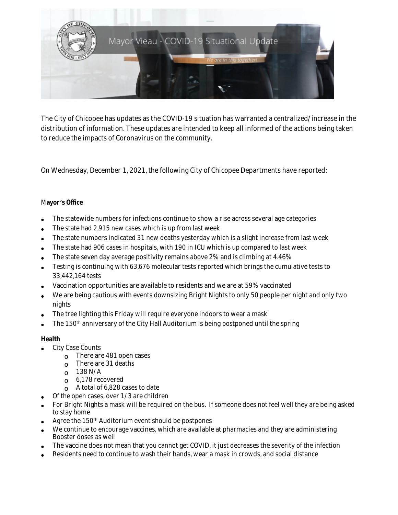

The City of Chicopee has updates as the COVID-19 situation has warranted a centralized/increase in the distribution of information. These updates are intended to keep all informed of the actions being taken to reduce the impacts of Coronavirus on the community.

On Wednesday, December 1, 2021, the following City of Chicopee Departments have reported:

# M**ayor** '**s Office**

- The statewide numbers for infections continue to show a rise across several age categories
- The state had 2,915 new cases which is up from last week
- The state numbers indicated 31 new deaths yesterday which is a slight increase from last week
- The state had 906 cases in hospitals, with 190 in ICU which is up compared to last week
- The state seven day average positivity remains above 2% and is climbing at 4.46%
- Testing is continuing with 63,676 molecular tests reported which brings the cumulative tests to 33,442,164 tests
- Vaccination opportunities are available to residents and we are at 59% vaccinated
- We are being cautious with events downsizing Bright Nights to only 50 people per night and only two nights
- The tree lighting this Friday will require everyone indoors to wear a mask
- The 150th anniversary of the City Hall Auditorium is being postponed until the spring

# **Health**

- City Case Counts
	- o There are 481 open cases
	- $\circ$  There are 31 deaths
	- $O$  138 N/A
	- o 6,178 recovered
	- $\circ$  A total of 6,828 cases to date
	- Of the open cases, over 1/3 are children
- For Bright Nights a mask will be required on the bus. If someone does not feel well they are being asked to stay home
- Agree the 150th Auditorium event should be postpones
- We continue to encourage vaccines, which are available at pharmacies and they are administering Booster doses as well
- The vaccine does not mean that you cannot get COVID, it just decreases the severity of the infection
- Residents need to continue to wash their hands, wear a mask in crowds, and social distance